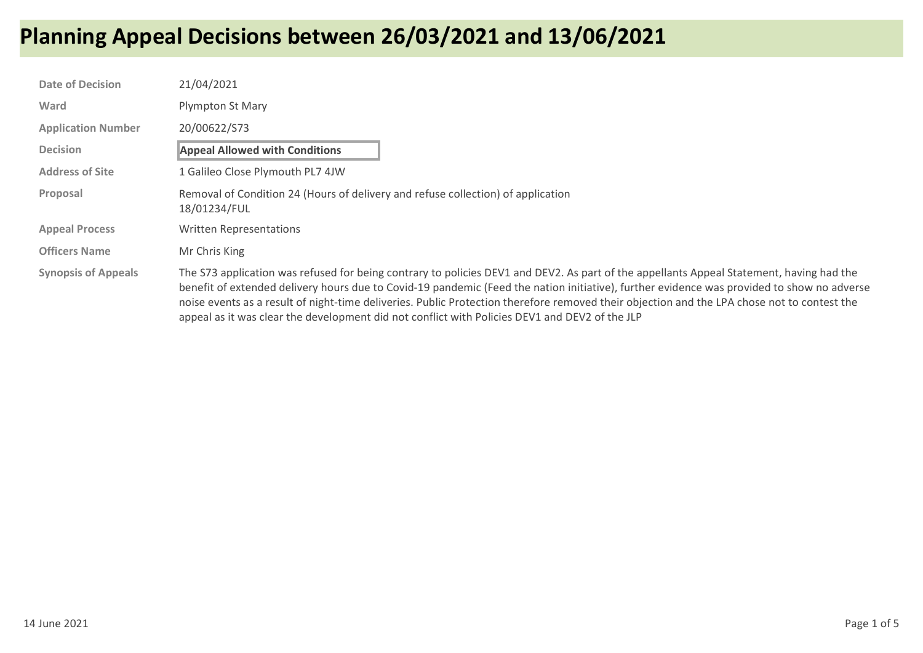| <b>Date of Decision</b>    | 21/04/2021                                                                                                                                                                                                                                                                                                                                                                                                                                                                                                                              |
|----------------------------|-----------------------------------------------------------------------------------------------------------------------------------------------------------------------------------------------------------------------------------------------------------------------------------------------------------------------------------------------------------------------------------------------------------------------------------------------------------------------------------------------------------------------------------------|
| Ward                       | Plympton St Mary                                                                                                                                                                                                                                                                                                                                                                                                                                                                                                                        |
| <b>Application Number</b>  | 20/00622/S73                                                                                                                                                                                                                                                                                                                                                                                                                                                                                                                            |
| <b>Decision</b>            | <b>Appeal Allowed with Conditions</b>                                                                                                                                                                                                                                                                                                                                                                                                                                                                                                   |
| <b>Address of Site</b>     | 1 Galileo Close Plymouth PL7 4JW                                                                                                                                                                                                                                                                                                                                                                                                                                                                                                        |
| Proposal                   | Removal of Condition 24 (Hours of delivery and refuse collection) of application<br>18/01234/FUL                                                                                                                                                                                                                                                                                                                                                                                                                                        |
| <b>Appeal Process</b>      | <b>Written Representations</b>                                                                                                                                                                                                                                                                                                                                                                                                                                                                                                          |
| <b>Officers Name</b>       | Mr Chris King                                                                                                                                                                                                                                                                                                                                                                                                                                                                                                                           |
| <b>Synopsis of Appeals</b> | The S73 application was refused for being contrary to policies DEV1 and DEV2. As part of the appellants Appeal Statement, having had the<br>benefit of extended delivery hours due to Covid-19 pandemic (Feed the nation initiative), further evidence was provided to show no adverse<br>noise events as a result of night-time deliveries. Public Protection therefore removed their objection and the LPA chose not to contest the<br>appeal as it was clear the development did not conflict with Policies DEV1 and DEV2 of the JLP |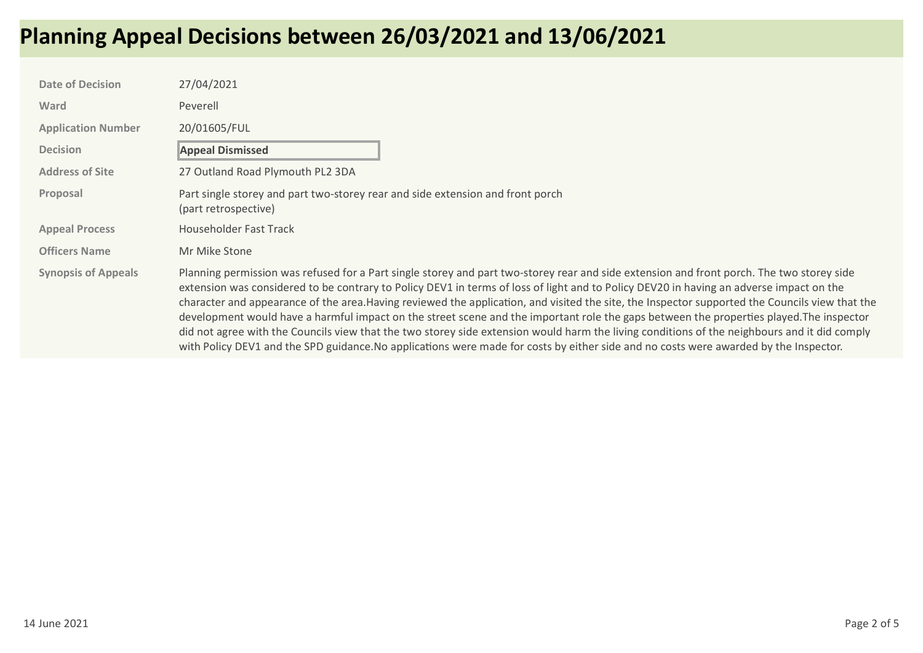| <b>Date of Decision</b>    | 27/04/2021                                                                                                                                                                                                                                                                                                                                                                                                                                                                                                                                                                                                                                                                                                                                                                                                                                                                   |
|----------------------------|------------------------------------------------------------------------------------------------------------------------------------------------------------------------------------------------------------------------------------------------------------------------------------------------------------------------------------------------------------------------------------------------------------------------------------------------------------------------------------------------------------------------------------------------------------------------------------------------------------------------------------------------------------------------------------------------------------------------------------------------------------------------------------------------------------------------------------------------------------------------------|
| Ward                       | Peverell                                                                                                                                                                                                                                                                                                                                                                                                                                                                                                                                                                                                                                                                                                                                                                                                                                                                     |
| <b>Application Number</b>  | 20/01605/FUL                                                                                                                                                                                                                                                                                                                                                                                                                                                                                                                                                                                                                                                                                                                                                                                                                                                                 |
| <b>Decision</b>            | <b>Appeal Dismissed</b>                                                                                                                                                                                                                                                                                                                                                                                                                                                                                                                                                                                                                                                                                                                                                                                                                                                      |
| <b>Address of Site</b>     | 27 Outland Road Plymouth PL2 3DA                                                                                                                                                                                                                                                                                                                                                                                                                                                                                                                                                                                                                                                                                                                                                                                                                                             |
| Proposal                   | Part single storey and part two-storey rear and side extension and front porch<br>(part retrospective)                                                                                                                                                                                                                                                                                                                                                                                                                                                                                                                                                                                                                                                                                                                                                                       |
| <b>Appeal Process</b>      | Householder Fast Track                                                                                                                                                                                                                                                                                                                                                                                                                                                                                                                                                                                                                                                                                                                                                                                                                                                       |
| <b>Officers Name</b>       | Mr Mike Stone                                                                                                                                                                                                                                                                                                                                                                                                                                                                                                                                                                                                                                                                                                                                                                                                                                                                |
| <b>Synopsis of Appeals</b> | Planning permission was refused for a Part single storey and part two-storey rear and side extension and front porch. The two storey side<br>extension was considered to be contrary to Policy DEV1 in terms of loss of light and to Policy DEV20 in having an adverse impact on the<br>character and appearance of the area. Having reviewed the application, and visited the site, the Inspector supported the Councils view that the<br>development would have a harmful impact on the street scene and the important role the gaps between the properties played. The inspector<br>did not agree with the Councils view that the two storey side extension would harm the living conditions of the neighbours and it did comply<br>with Policy DEV1 and the SPD guidance. No applications were made for costs by either side and no costs were awarded by the Inspector. |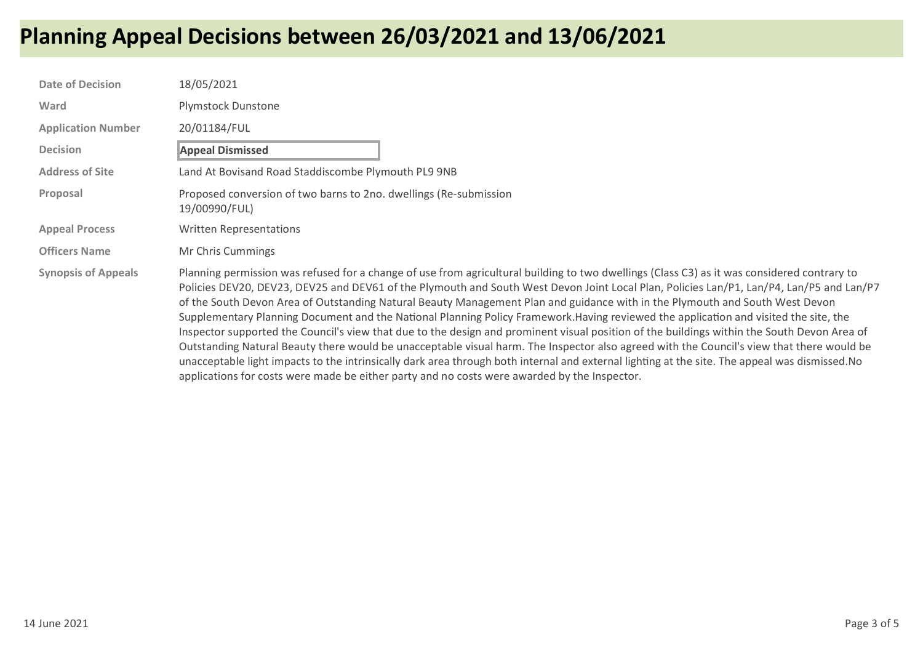| <b>Date of Decision</b>    | 18/05/2021                                                                                                                                                                                                                                                                                                                                                                                                                                                                                                                                                                                                                                                                                                                                                                                                                                                                                                                                                                                                                                                                                                     |
|----------------------------|----------------------------------------------------------------------------------------------------------------------------------------------------------------------------------------------------------------------------------------------------------------------------------------------------------------------------------------------------------------------------------------------------------------------------------------------------------------------------------------------------------------------------------------------------------------------------------------------------------------------------------------------------------------------------------------------------------------------------------------------------------------------------------------------------------------------------------------------------------------------------------------------------------------------------------------------------------------------------------------------------------------------------------------------------------------------------------------------------------------|
| Ward                       | <b>Plymstock Dunstone</b>                                                                                                                                                                                                                                                                                                                                                                                                                                                                                                                                                                                                                                                                                                                                                                                                                                                                                                                                                                                                                                                                                      |
| <b>Application Number</b>  | 20/01184/FUL                                                                                                                                                                                                                                                                                                                                                                                                                                                                                                                                                                                                                                                                                                                                                                                                                                                                                                                                                                                                                                                                                                   |
| <b>Decision</b>            | <b>Appeal Dismissed</b>                                                                                                                                                                                                                                                                                                                                                                                                                                                                                                                                                                                                                                                                                                                                                                                                                                                                                                                                                                                                                                                                                        |
| <b>Address of Site</b>     | Land At Bovisand Road Staddiscombe Plymouth PL9 9NB                                                                                                                                                                                                                                                                                                                                                                                                                                                                                                                                                                                                                                                                                                                                                                                                                                                                                                                                                                                                                                                            |
| Proposal                   | Proposed conversion of two barns to 2no. dwellings (Re-submission<br>19/00990/FUL)                                                                                                                                                                                                                                                                                                                                                                                                                                                                                                                                                                                                                                                                                                                                                                                                                                                                                                                                                                                                                             |
| <b>Appeal Process</b>      | Written Representations                                                                                                                                                                                                                                                                                                                                                                                                                                                                                                                                                                                                                                                                                                                                                                                                                                                                                                                                                                                                                                                                                        |
| <b>Officers Name</b>       | Mr Chris Cummings                                                                                                                                                                                                                                                                                                                                                                                                                                                                                                                                                                                                                                                                                                                                                                                                                                                                                                                                                                                                                                                                                              |
| <b>Synopsis of Appeals</b> | Planning permission was refused for a change of use from agricultural building to two dwellings (Class C3) as it was considered contrary to<br>Policies DEV20, DEV23, DEV25 and DEV61 of the Plymouth and South West Devon Joint Local Plan, Policies Lan/P1, Lan/P4, Lan/P5 and Lan/P7<br>of the South Devon Area of Outstanding Natural Beauty Management Plan and guidance with in the Plymouth and South West Devon<br>Supplementary Planning Document and the National Planning Policy Framework.Having reviewed the application and visited the site, the<br>Inspector supported the Council's view that due to the design and prominent visual position of the buildings within the South Devon Area of<br>Outstanding Natural Beauty there would be unacceptable visual harm. The Inspector also agreed with the Council's view that there would be<br>unacceptable light impacts to the intrinsically dark area through both internal and external lighting at the site. The appeal was dismissed. No<br>applications for costs were made be either party and no costs were awarded by the Inspector. |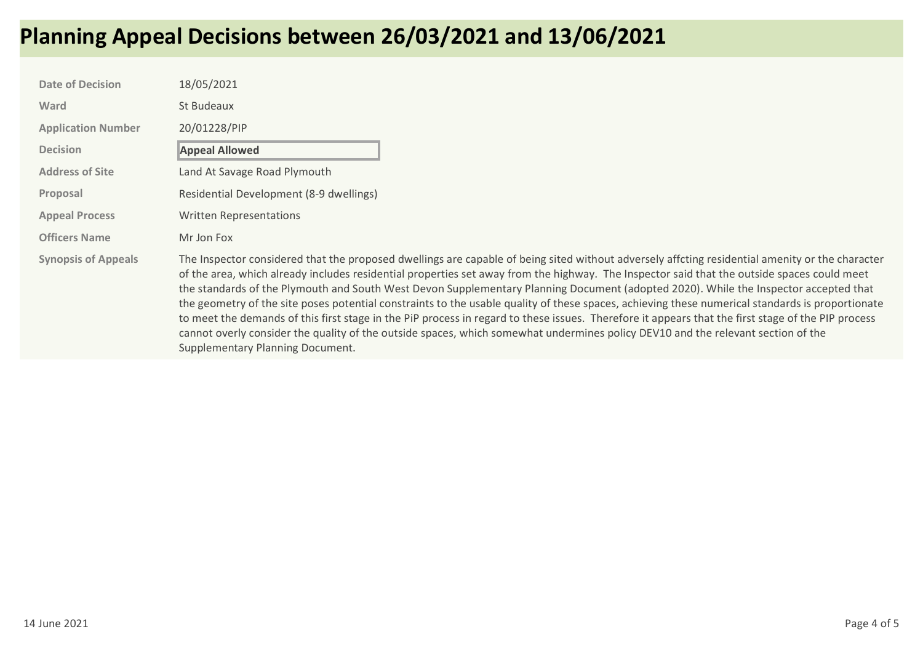| <b>Date of Decision</b>    | 18/05/2021                                                                                                                                                                                                                                                                                                                                                                                                                                                                                                                                                                                                                                                                                                                                                                                                                                                                                                               |
|----------------------------|--------------------------------------------------------------------------------------------------------------------------------------------------------------------------------------------------------------------------------------------------------------------------------------------------------------------------------------------------------------------------------------------------------------------------------------------------------------------------------------------------------------------------------------------------------------------------------------------------------------------------------------------------------------------------------------------------------------------------------------------------------------------------------------------------------------------------------------------------------------------------------------------------------------------------|
| Ward                       | St Budeaux                                                                                                                                                                                                                                                                                                                                                                                                                                                                                                                                                                                                                                                                                                                                                                                                                                                                                                               |
| <b>Application Number</b>  | 20/01228/PIP                                                                                                                                                                                                                                                                                                                                                                                                                                                                                                                                                                                                                                                                                                                                                                                                                                                                                                             |
| <b>Decision</b>            | <b>Appeal Allowed</b>                                                                                                                                                                                                                                                                                                                                                                                                                                                                                                                                                                                                                                                                                                                                                                                                                                                                                                    |
| <b>Address of Site</b>     | Land At Savage Road Plymouth                                                                                                                                                                                                                                                                                                                                                                                                                                                                                                                                                                                                                                                                                                                                                                                                                                                                                             |
| Proposal                   | Residential Development (8-9 dwellings)                                                                                                                                                                                                                                                                                                                                                                                                                                                                                                                                                                                                                                                                                                                                                                                                                                                                                  |
| <b>Appeal Process</b>      | <b>Written Representations</b>                                                                                                                                                                                                                                                                                                                                                                                                                                                                                                                                                                                                                                                                                                                                                                                                                                                                                           |
| <b>Officers Name</b>       | Mr Jon Fox                                                                                                                                                                                                                                                                                                                                                                                                                                                                                                                                                                                                                                                                                                                                                                                                                                                                                                               |
| <b>Synopsis of Appeals</b> | The Inspector considered that the proposed dwellings are capable of being sited without adversely affcting residential amenity or the character<br>of the area, which already includes residential properties set away from the highway. The Inspector said that the outside spaces could meet<br>the standards of the Plymouth and South West Devon Supplementary Planning Document (adopted 2020). While the Inspector accepted that<br>the geometry of the site poses potential constraints to the usable quality of these spaces, achieving these numerical standards is proportionate<br>to meet the demands of this first stage in the PiP process in regard to these issues. Therefore it appears that the first stage of the PIP process<br>cannot overly consider the quality of the outside spaces, which somewhat undermines policy DEV10 and the relevant section of the<br>Supplementary Planning Document. |